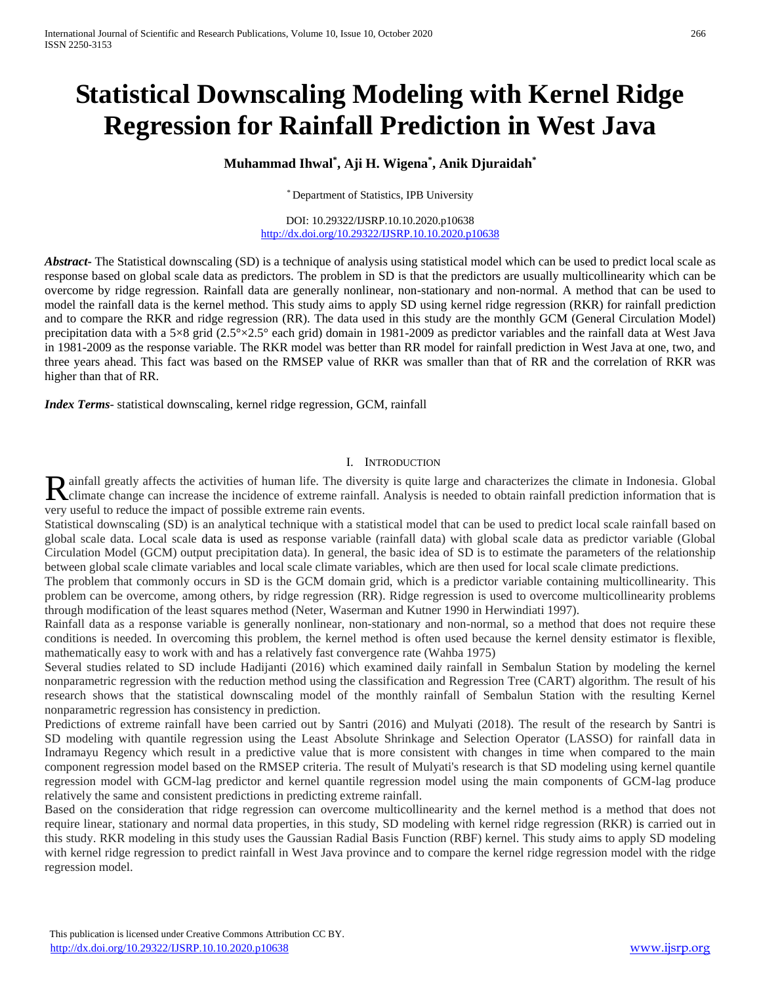# **Statistical Downscaling Modeling with Kernel Ridge Regression for Rainfall Prediction in West Java**

## **Muhammad Ihwal\* , Aji H. Wigena\* , Anik Djuraidah\***

\* Department of Statistics, IPB University

DOI: 10.29322/IJSRP.10.10.2020.p10638 <http://dx.doi.org/10.29322/IJSRP.10.10.2020.p10638>

*Abstract* The Statistical downscaling (SD) is a technique of analysis using statistical model which can be used to predict local scale as response based on global scale data as predictors. The problem in SD is that the predictors are usually multicollinearity which can be overcome by ridge regression. Rainfall data are generally nonlinear, non-stationary and non-normal. A method that can be used to model the rainfall data is the kernel method. This study aims to apply SD using kernel ridge regression (RKR) for rainfall prediction and to compare the RKR and ridge regression (RR). The data used in this study are the monthly GCM (General Circulation Model) precipitation data with a 5×8 grid (2.5°×2.5° each grid) domain in 1981-2009 as predictor variables and the rainfall data at West Java in 1981-2009 as the response variable. The RKR model was better than RR model for rainfall prediction in West Java at one, two, and three years ahead. This fact was based on the RMSEP value of RKR was smaller than that of RR and the correlation of RKR was higher than that of RR.

*Index Terms*- statistical downscaling, kernel ridge regression, GCM, rainfall

#### I. INTRODUCTION

ainfall greatly affects the activities of human life. The diversity is quite large and characterizes the climate in Indonesia. Global Rainfall greatly affects the activities of human life. The diversity is quite large and characterizes the climate in Indonesia. Global Climate change can increase the incidence of extreme rainfall. Analysis is needed to ob very useful to reduce the impact of possible extreme rain events.

Statistical downscaling (SD) is an analytical technique with a statistical model that can be used to predict local scale rainfall based on global scale data. Local scale data is used as response variable (rainfall data) with global scale data as predictor variable (Global Circulation Model (GCM) output precipitation data). In general, the basic idea of SD is to estimate the parameters of the relationship between global scale climate variables and local scale climate variables, which are then used for local scale climate predictions.

The problem that commonly occurs in SD is the GCM domain grid, which is a predictor variable containing multicollinearity. This problem can be overcome, among others, by ridge regression (RR). Ridge regression is used to overcome multicollinearity problems through modification of the least squares method (Neter, Waserman and Kutner 1990 in Herwindiati 1997).

Rainfall data as a response variable is generally nonlinear, non-stationary and non-normal, so a method that does not require these conditions is needed. In overcoming this problem, the kernel method is often used because the kernel density estimator is flexible, mathematically easy to work with and has a relatively fast convergence rate (Wahba 1975)

Several studies related to SD include Hadijanti (2016) which examined daily rainfall in Sembalun Station by modeling the kernel nonparametric regression with the reduction method using the classification and Regression Tree (CART) algorithm. The result of his research shows that the statistical downscaling model of the monthly rainfall of Sembalun Station with the resulting Kernel nonparametric regression has consistency in prediction.

Predictions of extreme rainfall have been carried out by Santri (2016) and Mulyati (2018). The result of the research by Santri is SD modeling with quantile regression using the Least Absolute Shrinkage and Selection Operator (LASSO) for rainfall data in Indramayu Regency which result in a predictive value that is more consistent with changes in time when compared to the main component regression model based on the RMSEP criteria. The result of Mulyati's research is that SD modeling using kernel quantile regression model with GCM-lag predictor and kernel quantile regression model using the main components of GCM-lag produce relatively the same and consistent predictions in predicting extreme rainfall.

Based on the consideration that ridge regression can overcome multicollinearity and the kernel method is a method that does not require linear, stationary and normal data properties, in this study, SD modeling with kernel ridge regression (RKR) is carried out in this study. RKR modeling in this study uses the Gaussian Radial Basis Function (RBF) kernel. This study aims to apply SD modeling with kernel ridge regression to predict rainfall in West Java province and to compare the kernel ridge regression model with the ridge regression model.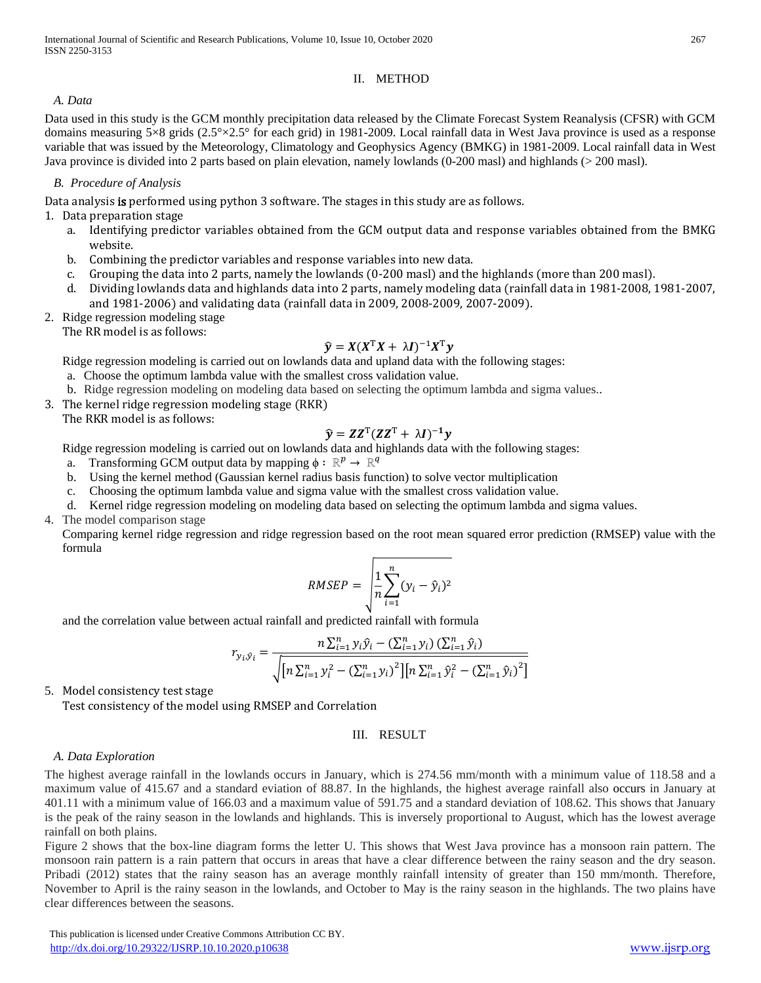## II. METHOD

*A. Data* 

Data used in this study is the GCM monthly precipitation data released by the Climate Forecast System Reanalysis (CFSR) with GCM domains measuring 5×8 grids (2.5°×2.5° for each grid) in 1981-2009. Local rainfall data in West Java province is used as a response variable that was issued by the Meteorology, Climatology and Geophysics Agency (BMKG) in 1981-2009. Local rainfall data in West Java province is divided into 2 parts based on plain elevation, namely lowlands (0-200 masl) and highlands (> 200 masl).

## *B. Procedure of Analysis*

Data analysis is performed using python 3 software. The stages in this study are as follows.

## 1. Data preparation stage

- a. Identifying predictor variables obtained from the GCM output data and response variables obtained from the BMKG website.
- b. Combining the predictor variables and response variables into new data.
- c. Grouping the data into 2 parts, namely the lowlands (0-200 masl) and the highlands (more than 200 masl).
- d. Dividing lowlands data and highlands data into 2 parts, namely modeling data (rainfall data in 1981-2008, 1981-2007, and 1981-2006) and validating data (rainfall data in 2009, 2008-2009, 2007-2009).
- 2. Ridge regression modeling stage

The RR model is as follows:

# $\hat{\mathbf{y}} = X(X^{\mathrm{T}}X + \lambda I)^{-1}X^{\mathrm{T}}\mathbf{y}$

Ridge regression modeling is carried out on lowlands data and upland data with the following stages:

- a. Choose the optimum lambda value with the smallest cross validation value.
- b. Ridge regression modeling on modeling data based on selecting the optimum lambda and sigma values..
- 3. The kernel ridge regression modeling stage (RKR)

The RKR model is as follows:

# $\widehat{\mathbf{y}} = \mathbf{Z} \mathbf{Z}^{\mathrm{T}} (\mathbf{Z} \mathbf{Z}^{\mathrm{T}} + \lambda \mathbf{I})^{-1} \mathbf{y}$

Ridge regression modeling is carried out on lowlands data and highlands data with the following stages:

- a. Transforming GCM output data by mapping  $\phi : \mathbb{R}^p \to \mathbb{R}^q$
- b. Using the kernel method (Gaussian kernel radius basis function) to solve vector multiplication
- c. Choosing the optimum lambda value and sigma value with the smallest cross validation value.
- d. Kernel ridge regression modeling on modeling data based on selecting the optimum lambda and sigma values.
- 4. The model comparison stage

Comparing kernel ridge regression and ridge regression based on the root mean squared error prediction (RMSEP) value with the formula

$$
RMSEP = \sqrt{\frac{1}{n} \sum_{i=1}^{n} (y_i - \hat{y}_i)^2}
$$

and the correlation value between actual rainfall and predicted rainfall with formula

$$
r_{y_i, \hat{y}_i} = \frac{n \sum_{i=1}^{n} y_i \hat{y}_i - (\sum_{i=1}^{n} y_i) (\sum_{i=1}^{n} \hat{y}_i)}{\sqrt{\left[n \sum_{i=1}^{n} y_i^2 - (\sum_{i=1}^{n} y_i)^2\right]\left[n \sum_{i=1}^{n} \hat{y}_i^2 - (\sum_{i=1}^{n} \hat{y}_i)^2\right]}}
$$

5. Model consistency test stage

Test consistency of the model using RMSEP and Correlation

## III. RESULT

## *A. Data Exploration*

The highest average rainfall in the lowlands occurs in January, which is 274.56 mm/month with a minimum value of 118.58 and a maximum value of 415.67 and a standard eviation of 88.87. In the highlands, the highest average rainfall also occurs in January at 401.11 with a minimum value of 166.03 and a maximum value of 591.75 and a standard deviation of 108.62. This shows that January is the peak of the rainy season in the lowlands and highlands. This is inversely proportional to August, which has the lowest average rainfall on both plains.

Figure 2 shows that the box-line diagram forms the letter U. This shows that West Java province has a monsoon rain pattern. The monsoon rain pattern is a rain pattern that occurs in areas that have a clear difference between the rainy season and the dry season. Pribadi (2012) states that the rainy season has an average monthly rainfall intensity of greater than 150 mm/month. Therefore, November to April is the rainy season in the lowlands, and October to May is the rainy season in the highlands. The two plains have clear differences between the seasons.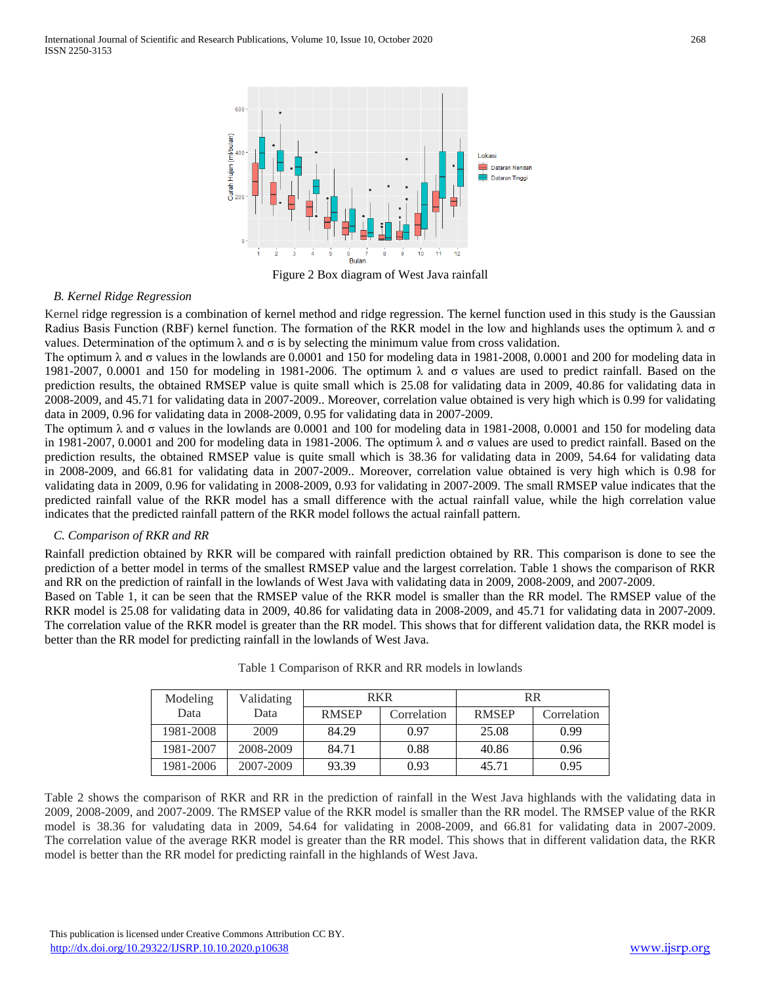

Figure 2 Box diagram of West Java rainfall

#### *B. Kernel Ridge Regression*

Kernel ridge regression is a combination of kernel method and ridge regression. The kernel function used in this study is the Gaussian Radius Basis Function (RBF) kernel function. The formation of the RKR model in the low and highlands uses the optimum  $\lambda$  and  $\sigma$ values. Determination of the optimum  $\lambda$  and  $\sigma$  is by selecting the minimum value from cross validation.

The optimum λ and σ values in the lowlands are 0.0001 and 150 for modeling data in 1981-2008, 0.0001 and 200 for modeling data in 1981-2007, 0.0001 and 150 for modeling in 1981-2006. The optimum  $\lambda$  and σ values are used to predict rainfall. Based on the prediction results, the obtained RMSEP value is quite small which is 25.08 for validating data in 2009, 40.86 for validating data in 2008-2009, and 45.71 for validating data in 2007-2009.. Moreover, correlation value obtained is very high which is 0.99 for validating data in 2009, 0.96 for validating data in 2008-2009, 0.95 for validating data in 2007-2009.

The optimum λ and σ values in the lowlands are 0.0001 and 100 for modeling data in 1981-2008, 0.0001 and 150 for modeling data in 1981-2007, 0.0001 and 200 for modeling data in 1981-2006. The optimum  $\lambda$  and  $\sigma$  values are used to predict rainfall. Based on the prediction results, the obtained RMSEP value is quite small which is 38.36 for validating data in 2009, 54.64 for validating data in 2008-2009, and 66.81 for validating data in 2007-2009.. Moreover, correlation value obtained is very high which is 0.98 for validating data in 2009, 0.96 for validating in 2008-2009, 0.93 for validating in 2007-2009. The small RMSEP value indicates that the predicted rainfall value of the RKR model has a small difference with the actual rainfall value, while the high correlation value indicates that the predicted rainfall pattern of the RKR model follows the actual rainfall pattern.

#### *C. Comparison of RKR and RR*

Rainfall prediction obtained by RKR will be compared with rainfall prediction obtained by RR. This comparison is done to see the prediction of a better model in terms of the smallest RMSEP value and the largest correlation. Table 1 shows the comparison of RKR and RR on the prediction of rainfall in the lowlands of West Java with validating data in 2009, 2008-2009, and 2007-2009.

Based on Table 1, it can be seen that the RMSEP value of the RKR model is smaller than the RR model. The RMSEP value of the RKR model is 25.08 for validating data in 2009, 40.86 for validating data in 2008-2009, and 45.71 for validating data in 2007-2009. The correlation value of the RKR model is greater than the RR model. This shows that for different validation data, the RKR model is better than the RR model for predicting rainfall in the lowlands of West Java.

| Modeling  | Validating | <b>RKR</b>   |             | <b>RR</b>    |             |  |
|-----------|------------|--------------|-------------|--------------|-------------|--|
| Data      | Data       | <b>RMSEP</b> | Correlation | <b>RMSEP</b> | Correlation |  |
| 1981-2008 | 2009       | 84.29        | 0.97        | 25.08        | 0.99        |  |
| 1981-2007 | 2008-2009  | 84.71        | 0.88        | 40.86        | 0.96        |  |
| 1981-2006 | 2007-2009  | 93.39        | 0.93        | 45.71        | 0.95        |  |

|  | Table 1 Comparison of RKR and RR models in lowlands |  |  |  |  |  |  |
|--|-----------------------------------------------------|--|--|--|--|--|--|
|--|-----------------------------------------------------|--|--|--|--|--|--|

Table 2 shows the comparison of RKR and RR in the prediction of rainfall in the West Java highlands with the validating data in 2009, 2008-2009, and 2007-2009. The RMSEP value of the RKR model is smaller than the RR model. The RMSEP value of the RKR model is 38.36 for valudating data in 2009, 54.64 for validating in 2008-2009, and 66.81 for validating data in 2007-2009. The correlation value of the average RKR model is greater than the RR model. This shows that in different validation data, the RKR model is better than the RR model for predicting rainfall in the highlands of West Java.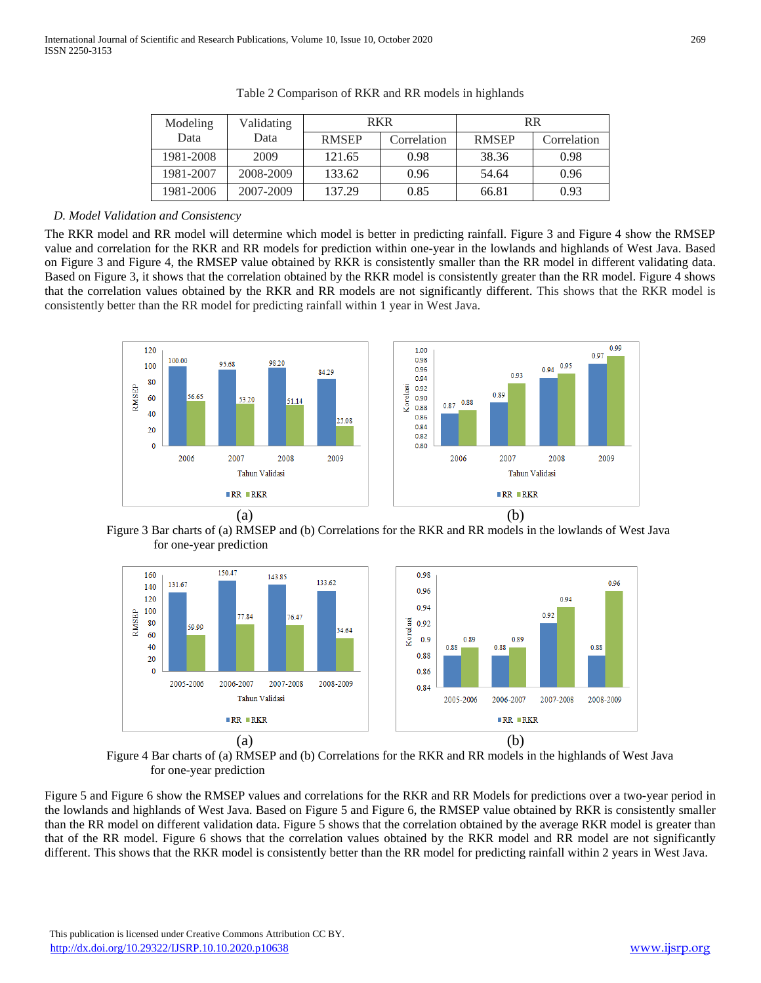| Modeling  | Validating | <b>RKR</b>   |             | <b>RR</b>    |             |  |
|-----------|------------|--------------|-------------|--------------|-------------|--|
| Data      | Data       | <b>RMSEP</b> | Correlation | <b>RMSEP</b> | Correlation |  |
| 1981-2008 | 2009       | 121.65       | 0.98        | 38.36        | 0.98        |  |
| 1981-2007 | 2008-2009  | 133.62       | 0.96        | 54.64        | 0.96        |  |
| 1981-2006 | 2007-2009  | 137.29       | 0.85        | 66.81        | 0.93        |  |

|  |  |  | Table 2 Comparison of RKR and RR models in highlands |
|--|--|--|------------------------------------------------------|
|  |  |  |                                                      |

#### *D. Model Validation and Consistency*

The RKR model and RR model will determine which model is better in predicting rainfall. Figure 3 and Figure 4 show the RMSEP value and correlation for the RKR and RR models for prediction within one-year in the lowlands and highlands of West Java. Based on Figure 3 and Figure 4, the RMSEP value obtained by RKR is consistently smaller than the RR model in different validating data. Based on Figure 3, it shows that the correlation obtained by the RKR model is consistently greater than the RR model. Figure 4 shows that the correlation values obtained by the RKR and RR models are not significantly different. This shows that the RKR model is consistently better than the RR model for predicting rainfall within 1 year in West Java.







Figure 4 Bar charts of (a) RMSEP and (b) Correlations for the RKR and RR models in the highlands of West Java for one-year prediction

Figure 5 and Figure 6 show the RMSEP values and correlations for the RKR and RR Models for predictions over a two-year period in the lowlands and highlands of West Java. Based on Figure 5 and Figure 6, the RMSEP value obtained by RKR is consistently smaller than the RR model on different validation data. Figure 5 shows that the correlation obtained by the average RKR model is greater than that of the RR model. Figure 6 shows that the correlation values obtained by the RKR model and RR model are not significantly different. This shows that the RKR model is consistently better than the RR model for predicting rainfall within 2 years in West Java.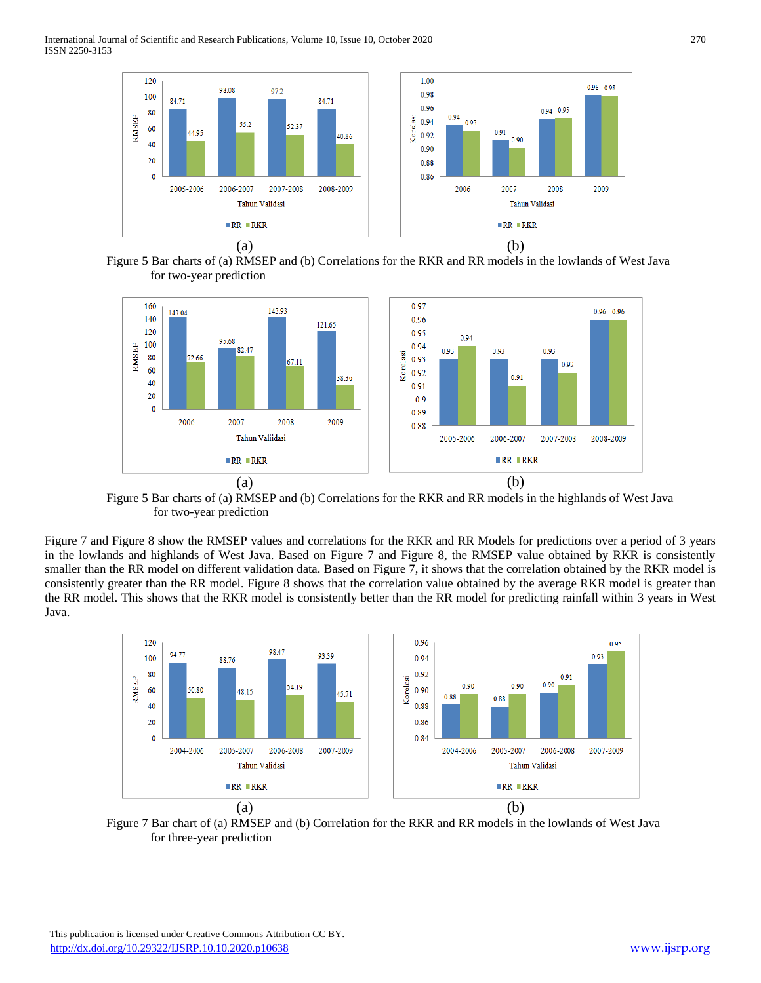International Journal of Scientific and Research Publications, Volume 10, Issue 10, October 2020 270 ISSN 2250-3153







Figure 5 Bar charts of (a) RMSEP and (b) Correlations for the RKR and RR models in the highlands of West Java for two-year prediction

Figure 7 and Figure 8 show the RMSEP values and correlations for the RKR and RR Models for predictions over a period of 3 years in the lowlands and highlands of West Java. Based on Figure 7 and Figure 8, the RMSEP value obtained by RKR is consistently smaller than the RR model on different validation data. Based on Figure 7, it shows that the correlation obtained by the RKR model is consistently greater than the RR model. Figure 8 shows that the correlation value obtained by the average RKR model is greater than the RR model. This shows that the RKR model is consistently better than the RR model for predicting rainfall within 3 years in West Java.



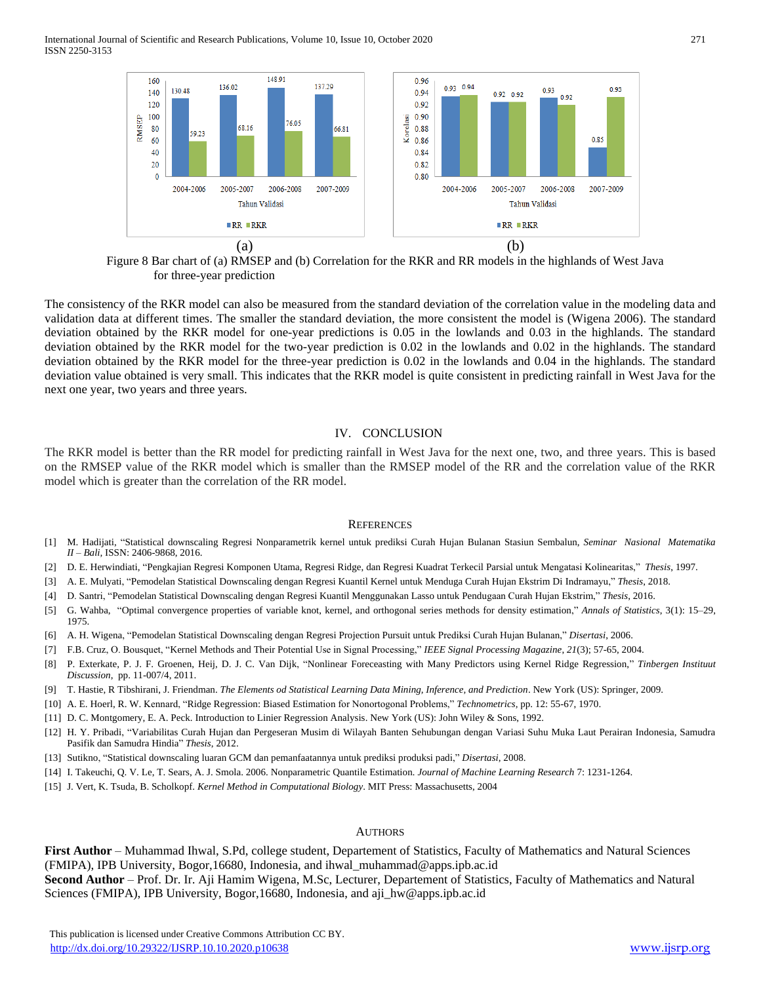International Journal of Scientific and Research Publications, Volume 10, Issue 10, October 2020 271 ISSN 2250-3153



Figure 8 Bar chart of (a) RMSEP and (b) Correlation for the RKR and RR models in the highlands of West Java for three-year prediction

The consistency of the RKR model can also be measured from the standard deviation of the correlation value in the modeling data and validation data at different times. The smaller the standard deviation, the more consistent the model is (Wigena 2006). The standard deviation obtained by the RKR model for one-year predictions is 0.05 in the lowlands and 0.03 in the highlands. The standard deviation obtained by the RKR model for the two-year prediction is 0.02 in the lowlands and 0.02 in the highlands. The standard deviation obtained by the RKR model for the three-year prediction is 0.02 in the lowlands and 0.04 in the highlands. The standard deviation value obtained is very small. This indicates that the RKR model is quite consistent in predicting rainfall in West Java for the next one year, two years and three years.

#### IV. CONCLUSION

The RKR model is better than the RR model for predicting rainfall in West Java for the next one, two, and three years. This is based on the RMSEP value of the RKR model which is smaller than the RMSEP model of the RR and the correlation value of the RKR model which is greater than the correlation of the RR model.

#### **REFERENCES**

- [1] M. Hadijati, "Statistical downscaling Regresi Nonparametrik kernel untuk prediksi Curah Hujan Bulanan Stasiun Sembalun, *Seminar Nasional Matematika II – Bali,* ISSN: 2406-9868, 2016.
- [2] D. E. Herwindiati, "Pengkajian Regresi Komponen Utama, Regresi Ridge, dan Regresi Kuadrat Terkecil Parsial untuk Mengatasi Kolinearitas," *Thesis*, 1997.
- [3] A. E. Mulyati, "Pemodelan Statistical Downscaling dengan Regresi Kuantil Kernel untuk Menduga Curah Hujan Ekstrim Di Indramayu," *Thesis*, 2018.
- [4] D. Santri, "Pemodelan Statistical Downscaling dengan Regresi Kuantil Menggunakan Lasso untuk Pendugaan Curah Hujan Ekstrim," *Thesis*, 2016.
- [5] G. Wahba, ["Optimal convergence properties of variable knot, kernel, and orthogonal series methods for density estimation,"](https://doi.org/10.1214/aos/1176342997) *[Annals of Statistics](https://en.wikipedia.org/wiki/Annals_of_Statistics)*, 3(1): 15–29, 1975.
- [6] A. H. Wigena, "Pemodelan Statistical Downscaling dengan Regresi Projection Pursuit untuk Prediksi Curah Hujan Bulanan," *Disertasi*, 2006.
- [7] F.B. Cruz, O. Bousquet, "Kernel Methods and Their Potential Use in Signal Processing," *IEEE Signal Processing Magazine*, *21*(3); 57-65, 2004.
- [8] P. Exterkate, P. J. F. Groenen, Heij, D. J. C. Van Dijk, "Nonlinear Foreceasting with Many Predictors using Kernel Ridge Regression," *Tinbergen Instituut Discussion*, pp. 11-007/4, 2011.
- [9] T. Hastie, R Tibshirani, J. Friendman. *The Elements od Statistical Learning Data Mining, Inference, and Prediction*. New York (US): Springer, 2009.
- [10] A. E. Hoerl, R. W. Kennard, "Ridge Regression: Biased Estimation for Nonortogonal Problems," *Technometrics,* pp. 12: 55-67, 1970.
- [11] D. C. Montgomery, E. A. Peck. Introduction to Linier Regression Analysis. New York (US): John Wiley & Sons, 1992.
- [12] H. Y. Pribadi, "Variabilitas Curah Hujan dan Pergeseran Musim di Wilayah Banten Sehubungan dengan Variasi Suhu Muka Laut Perairan Indonesia, Samudra Pasifik dan Samudra Hindia" *Thesis*, 2012.
- [13] Sutikno, "Statistical downscaling luaran GCM dan pemanfaatannya untuk prediksi produksi padi," *Disertasi*, 2008.
- [14] I. Takeuchi, Q. V. Le, T. Sears, A. J. Smola. 2006. Nonparametric Quantile Estimation*. Journal of Machine Learning Research* 7: 1231-1264.
- [15] J. Vert, K. Tsuda, B. Scholkopf. *Kernel Method in Computational Biology*. MIT Press: Massachusetts, 2004

#### AUTHORS

**First Author** – Muhammad Ihwal, S.Pd, college student, Departement of Statistics, Faculty of Mathematics and Natural Sciences (FMIPA), IPB University, Bogor,16680, Indonesia, and ihwal\_muhammad@apps.ipb.ac.id **Second Author** – Prof. Dr. Ir. Aji Hamim Wigena, M.Sc, Lecturer, Departement of Statistics, Faculty of Mathematics and Natural Sciences (FMIPA), IPB University, Bogor,16680, Indonesia, and aji\_hw@apps.ipb.ac.id